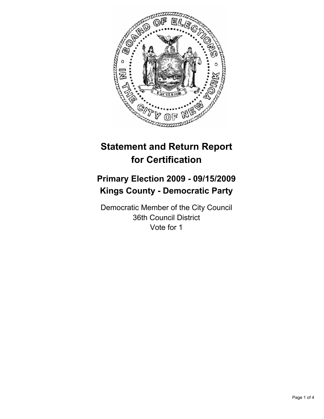

# **Statement and Return Report for Certification**

# **Primary Election 2009 - 09/15/2009 Kings County - Democratic Party**

Democratic Member of the City Council 36th Council District Vote for 1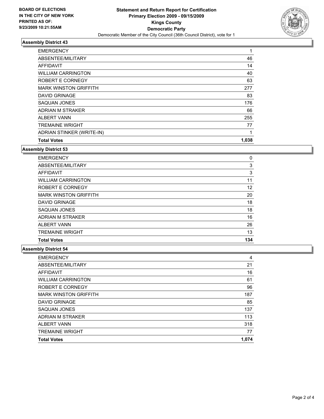

#### **Assembly District 43**

| <b>EMERGENCY</b>             | 1     |
|------------------------------|-------|
| ABSENTEE/MILITARY            | 46    |
| <b>AFFIDAVIT</b>             | 14    |
| <b>WILLIAM CARRINGTON</b>    | 40    |
| ROBERT E CORNEGY             | 63    |
| <b>MARK WINSTON GRIFFITH</b> | 277   |
| <b>DAVID GRINAGE</b>         | 83    |
| SAQUAN JONES                 | 176   |
| ADRIAN M STRAKER             | 66    |
| <b>ALBERT VANN</b>           | 255   |
| <b>TREMAINE WRIGHT</b>       | 77    |
| ADRIAN STINKER (WRITE-IN)    | 1     |
| <b>Total Votes</b>           | 1,038 |

### **Assembly District 53**

| <b>EMERGENCY</b>             | 0   |
|------------------------------|-----|
| ABSENTEE/MILITARY            | 3   |
| <b>AFFIDAVIT</b>             | 3   |
| <b>WILLIAM CARRINGTON</b>    | 11  |
| ROBERT E CORNEGY             | 12  |
| <b>MARK WINSTON GRIFFITH</b> | 20  |
| <b>DAVID GRINAGE</b>         | 18  |
| SAQUAN JONES                 | 18  |
| ADRIAN M STRAKER             | 16  |
| <b>ALBERT VANN</b>           | 26  |
| <b>TREMAINE WRIGHT</b>       | 13  |
| <b>Total Votes</b>           | 134 |

### **Assembly District 54**

| <b>EMERGENCY</b>             | 4     |
|------------------------------|-------|
| ABSENTEE/MILITARY            | 21    |
| <b>AFFIDAVIT</b>             | 16    |
| <b>WILLIAM CARRINGTON</b>    | 61    |
| ROBERT E CORNEGY             | 96    |
| <b>MARK WINSTON GRIFFITH</b> | 187   |
| <b>DAVID GRINAGE</b>         | 85    |
| SAQUAN JONES                 | 137   |
| ADRIAN M STRAKER             | 113   |
| <b>ALBERT VANN</b>           | 318   |
| <b>TREMAINE WRIGHT</b>       | 77    |
| <b>Total Votes</b>           | 1.074 |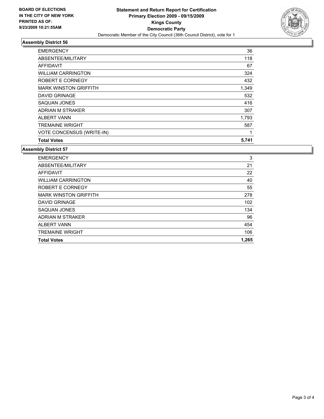

## **Assembly District 56**

| <b>EMERGENCY</b>                 | 36    |
|----------------------------------|-------|
| ABSENTEE/MILITARY                | 118   |
| <b>AFFIDAVIT</b>                 | 67    |
| <b>WILLIAM CARRINGTON</b>        | 324   |
| ROBERT E CORNEGY                 | 432   |
| <b>MARK WINSTON GRIFFITH</b>     | 1,349 |
| <b>DAVID GRINAGE</b>             | 532   |
| SAQUAN JONES                     | 416   |
| ADRIAN M STRAKER                 | 307   |
| <b>ALBERT VANN</b>               | 1,793 |
| <b>TREMAINE WRIGHT</b>           | 587   |
| <b>VOTE CONCENSUS (WRITE-IN)</b> | 1     |
| <b>Total Votes</b>               | 5,741 |

#### **Assembly District 57**

| <b>EMERGENCY</b>             | 3     |
|------------------------------|-------|
| ABSENTEE/MILITARY            | 21    |
| AFFIDAVIT                    | 22    |
| <b>WILLIAM CARRINGTON</b>    | 40    |
| ROBERT E CORNEGY             | 55    |
| <b>MARK WINSTON GRIFFITH</b> | 278   |
| <b>DAVID GRINAGE</b>         | 102   |
| SAQUAN JONES                 | 134   |
| ADRIAN M STRAKER             | 96    |
| <b>ALBERT VANN</b>           | 454   |
| <b>TREMAINE WRIGHT</b>       | 106   |
| <b>Total Votes</b>           | 1.265 |